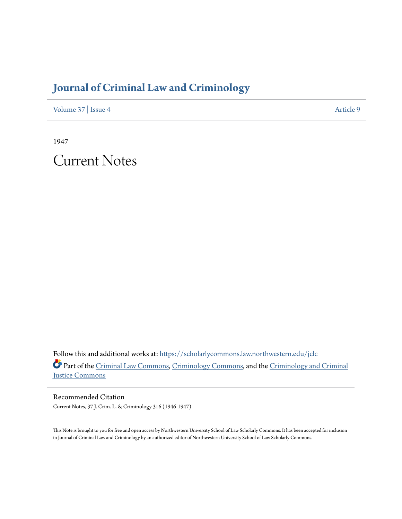## **[Journal of Criminal Law and Criminology](https://scholarlycommons.law.northwestern.edu/jclc?utm_source=scholarlycommons.law.northwestern.edu%2Fjclc%2Fvol37%2Fiss4%2F9&utm_medium=PDF&utm_campaign=PDFCoverPages)**

[Volume 37](https://scholarlycommons.law.northwestern.edu/jclc/vol37?utm_source=scholarlycommons.law.northwestern.edu%2Fjclc%2Fvol37%2Fiss4%2F9&utm_medium=PDF&utm_campaign=PDFCoverPages) | [Issue 4](https://scholarlycommons.law.northwestern.edu/jclc/vol37/iss4?utm_source=scholarlycommons.law.northwestern.edu%2Fjclc%2Fvol37%2Fiss4%2F9&utm_medium=PDF&utm_campaign=PDFCoverPages) [Article 9](https://scholarlycommons.law.northwestern.edu/jclc/vol37/iss4/9?utm_source=scholarlycommons.law.northwestern.edu%2Fjclc%2Fvol37%2Fiss4%2F9&utm_medium=PDF&utm_campaign=PDFCoverPages)

1947

Current Notes

Follow this and additional works at: [https://scholarlycommons.law.northwestern.edu/jclc](https://scholarlycommons.law.northwestern.edu/jclc?utm_source=scholarlycommons.law.northwestern.edu%2Fjclc%2Fvol37%2Fiss4%2F9&utm_medium=PDF&utm_campaign=PDFCoverPages) Part of the [Criminal Law Commons](http://network.bepress.com/hgg/discipline/912?utm_source=scholarlycommons.law.northwestern.edu%2Fjclc%2Fvol37%2Fiss4%2F9&utm_medium=PDF&utm_campaign=PDFCoverPages), [Criminology Commons](http://network.bepress.com/hgg/discipline/417?utm_source=scholarlycommons.law.northwestern.edu%2Fjclc%2Fvol37%2Fiss4%2F9&utm_medium=PDF&utm_campaign=PDFCoverPages), and the [Criminology and Criminal](http://network.bepress.com/hgg/discipline/367?utm_source=scholarlycommons.law.northwestern.edu%2Fjclc%2Fvol37%2Fiss4%2F9&utm_medium=PDF&utm_campaign=PDFCoverPages) [Justice Commons](http://network.bepress.com/hgg/discipline/367?utm_source=scholarlycommons.law.northwestern.edu%2Fjclc%2Fvol37%2Fiss4%2F9&utm_medium=PDF&utm_campaign=PDFCoverPages)

Recommended Citation Current Notes, 37 J. Crim. L. & Criminology 316 (1946-1947)

This Note is brought to you for free and open access by Northwestern University School of Law Scholarly Commons. It has been accepted for inclusion in Journal of Criminal Law and Criminology by an authorized editor of Northwestern University School of Law Scholarly Commons.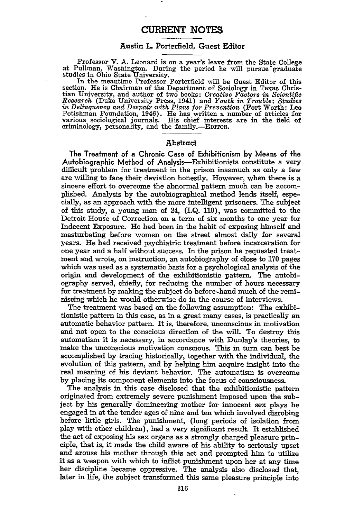## **CURRENT NOTES**

## Austin L. Porterfield, Guest Editor

Professor V. **A.** Leonard is on a year's leave from the State College at Pullman, Washington. During the period he will pursue graduate studies in Ohio State University.

In the meantime Professor Porterfield will be Guest Editor of this section. He is Chairman of the Department of Sociology in Texas Christian University, and author of two books: *Creative Factors in Scientific Research* (Duke University Press, 1941) and *Youth in Trouble: Studies in Delinquency and Despair with Plans for Prevention* (Fort Worth: Leo Potishman Foundation, 1946). He has written a number of articles for various sociological journals. His chief interests are in the field of criminology, personality, and the family.-EDITOR.

## Abstract

The Treatment of a Chronic Case of Exhibitionism **by** Means of the Autobiographic Method of Analysis-Exhibitionists constitute a very difficult problem for treatment in the prison inasmuch as only a few are willing to face their deviation honestly. However, when there is a sincere effort to overcome the abnormal pattern much can be accomplished. Analysis by the autobiographical method lends itself, especially, as an approach with the more intelligent prisoners. The subject of this study, a young man of 24, (I.Q. 110), was committed to the Detroit House of Correction on a term of six months to one year for Indecent Exposure. He had been in the habit of exposing himself and masturbating before women on the street almost daily for several years. He had received psychiatric treatment before incarceration for one year and a half without success. In the prison he requested treatment and wrote, on instruction, an autobiography of close to 170 pages which was used as a systematic basis for a psychological analysis of the origin and development of the exhibitionistic pattern. The autobiography served, chiefly, for reducing the number of hours necessary for treatment by making the subject do before-hand much of the reminiscing which he would otherwise do in the course of interviews.

The treatment was based on the following assumption: The exhibitionistic pattern in this case, as in a great many cases, is practically an automatic behavior pattern. It is, therefore, unconscious in motivation and not open to the conscious direction of the will. To destroy this automatism it is necessary, in accordance with Dunlap's theories, to make the unconscious motivation conscious. This in turn can best be accomplished by tracing historically, together with the individual, the evolution of this pattern, and by helping him acquire insight into the real meaning of his deviant behavior. The automatism is overcome by placing its component elements into the focus of consciousness.

The analysis in this case disclosed that the exhibitionistic pattern originated from extremely severe punishment imposed upon the subject by his generally domineering mother for innocent sex plays he engaged in at the tender ages of nine and ten which involved disrobing before little girls. The punishment, (long periods of isolation from play with other children), had a very significant result. It established the act of exposing his sex organs as a strongly charged pleasure principle, that is, it made the child aware of his ability to seriously upset and arouse his mother through this act and prompted him to utilize it as a weapon with which to inflict punishment upon her at any time her discipline became oppressive. The analysis also disclosed that, later in life, the subject transformed this same pleasure principle into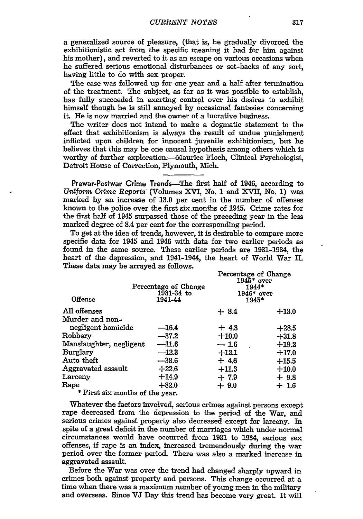a generalized source of pleasure, (that is, he gradually divorced the exhibitionistic act from the specific meaning it had for him against his mother), and reverted to it as an escape on various occasions when he suffered serious emotional disturbances or set-backs of any sort, having little to do with sex proper.

The case was followed up for one year and a half after termination of the treatment. The subject, as far as it was possible to establish, has fully succeeded in exerting control over his desires to exhibit himself though he is still annoyed by occasional fantasies concerning it. He is now married and the owner of a lucrative business.

The writer does not intend to make a dogmatic statement to the effect that exhibitionism is always the result of undue punishment inflicted upon children for innocent juvenile exhibitionism, but he believes that this may be one causal hypothesis among others which is worthy of further exploration.--Maurice Floch, Clinical Psychologist, Detroit House of Correction, Plymouth, Mich.

Prewar-Postwar Crime Trends-The first half of 1946, according to *Uniform Crime* Reports (Volumes XVI, No. **I** and **XVII,** No. **1)** was marked by an increase of **13.0** per cent in the number of offenses known to the police over the first six.months of 1945. Crime rates for the first half of 1945 surpassed those of the preceding year in the less marked degree of **8.4** per cent for the corresponding period.

To get at the idea of trends, however, it is desirable to compare more specific data for 1945 and 1946 with data for two earlier periods as found in the same source. These earlier periods are 1931-1934, the heart of the depression, and i941-1944, the heart of World War II. These data may be arrayed as follows.

| Offense                                                                   | Percentage of Change<br>1931-34 to<br>1941-44 | Percentage of Change<br>$1945*$ over<br>1944*<br>$1946*$ over<br>1945* |         |
|---------------------------------------------------------------------------|-----------------------------------------------|------------------------------------------------------------------------|---------|
| All offenses                                                              |                                               | $+8.4$                                                                 | $+13.0$ |
| Murder and non-                                                           |                                               |                                                                        |         |
| negligent homicide                                                        | $-16.4$                                       | $+4.3$                                                                 | $+28.5$ |
| Robbery                                                                   | $-37.2$                                       | $+10.0$                                                                | $+31.8$ |
| Manslaughter, negligent                                                   | $-11.6$                                       | $-1.6$                                                                 | $+19.2$ |
| <b>Burglary</b>                                                           | $-12.3$                                       | $+12.1$                                                                | $+17.0$ |
| Auto theft                                                                | $-38.6$                                       | $+4.6$                                                                 | $+15.5$ |
| Aggravated assault                                                        | $+22.6$                                       | $+11.3$                                                                | $+10.0$ |
| Larceny                                                                   | $+14.9$                                       | $+7.9$                                                                 | $+9.8$  |
| Rape                                                                      | $+82.0$                                       | $+9.0$                                                                 | $+~1.6$ |
| $\bullet$ The second contract $\bullet$ is a second contract of $\bullet$ |                                               |                                                                        |         |

**\*** First six months of the year.

Whatever the factors involved, serious crimes against persons except rape decreased from the depression to the period of the War, and serious crimes against property also decreased except for larceny. In spite of a great deficit in the number of marriages which under normal circumstances would have occurred from **1931** to 1934, serious sex offenses, **if** rape is an index, increased tremendously during the war period over the former period. There was also a marked increase in aggravated assault.

Before the War was over the trend had changed sharply upward in crimes both against property and persons. This change occurred at a time when there was a maximum number of young men in the military and overseas. Since **VJ** Day this trend has become very great. It will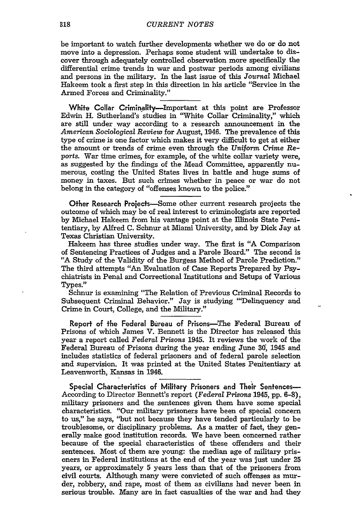be important to watch further developments whether we do or do not move into a depression. Perhaps some student will undertake to discover through adequately controlled observation more specifically the differential crime trends in war and postwar periods among civilians and persons in the military. In the last issue of this *Journal* Michael Hakeem took a first step in this direction in his article "Service in the Armed Forces and Criminality."

**White Collar** Criminality-Important at this point are Professor Edwin H. Sutherland's studies in "White Collar Criminality," which are still under way according to a research announcement in the *American* Sociological *Review* for August, 1946. The prevalence of this type of crime is one factor which makes it very difficult to get at either the amount or trends of crime even through the *Uniform Crime* Re*ports.* War time crimes, for example, of the white collar variety were, as suggested by the findings of the Mead Committee, apparently numerous, costing the United States lives in battle and huge sums of money in taxes. But such crimes whether in peace or war do not belong in the category of "offenses known to the police."

Other Research Projects--Some other current research projects the outcome of which may be of real interest to criminologists are reported by Michael Hakeem from his vantage point at the Illinois State Penitentiary, by Alfred C. Schnur at Miami University, and by Dick Jay at Texas Christian University.

Hakeem has three studies under way. The first is "A Comparison of Sentencing Practices of Judges and a Parole Board." The second is "A Study of the Validity of the Burgess Method of Parole Prediction." The third attempts "An Evaluation of Case Reports Prepared by Psychiatrists in Penal and Correctional Institutions and Setups of Various Types."

Schnur is examining "The Relation of Previous Criminal Records to Subsequent Criminal Behavior." Jay is studying "'Delinquency and Crime in Court, College, and the Military."

Report of the Federal Bureau of Prisons-The Federal Bureau of Prisons of which James V. Bennett is the Director has released this year a report called *Federal* Prisons 1945. It reviews the work of the Federal Bureau of Prisons during the year ending June 30, 1945 and includes statistics of federal prisoners and of federal parole selection and supervision. It was printed at the United States Penitentiary at Leavenworth, Kansas in 1946.

Special Characteristics of Military Prisoners and Their Sentences-According to Director Bennett's report *(Federal Prisons* 1945, pp. **6-8),** military prisoners and the sentences given them have some special characteristics. "Our military prisoners have been of special concern to us," he says, "but not because they have tended particularly to be troublesome, or disciplinary problems. As a matter of fact, they generally make good institution records. We have been concerned rather because of the special characteristics of these offenders and their sentences. Most of them are young: the median age of military prisoners in Federal institutions at the end of the year was just under 25 years, or approximately 5 years less than that of the prisoners from civil courts. Although many were convicted of such offenses as murder, robbery, and rape, most of them as civilians had never been in serious trouble. Many are in fact casualties of the war and had they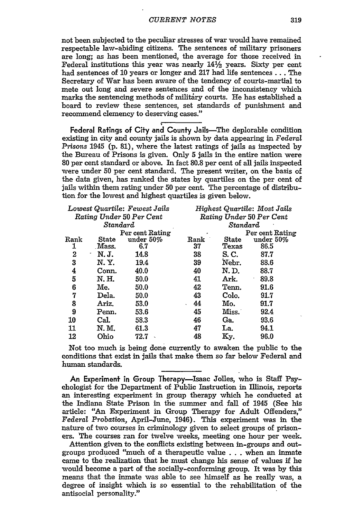not been subjected to the peculiar stresses of war would have remained respectable law-abiding citizens. The sentences of military prisoners are long; as has been mentioned, the average for those received in Federal institutions this year was nearly  $14\frac{1}{2}$  years. Sixty per cent had sentences of 10 years or longer and 217 had life sentences... The Secretary of War has been aware of the tendency of courts-martial to mete out long and severe sentences and of the inconsistency which marks the sentencing methods of military courts. He has established a board to review these sentences, set standards of punishment and recommend clemency to deserving cases."

Federal Ratings of City and County Jails—The deplorable condition existing in city and county jails is shown by data appearing in Federal *Prisons* 1945 (p. 81), where the latest ratings of jails as inspected by the Bureau of Prisons is given. Only **5** jails in the entire nation were **80** per cent standard or above. In fact 80.8 per cent of all jails inspected were under 50 per cent standard. The present writer, on the basis of the data given, has ranked the states by quartiles on the per cent of jails within them rating under **50** per cent. The percentage of distribution for the lowest and highest quartiles is given below.

| Lowest Quartile: Fewest Jails |       | Highest Quartile: Most Jails |      |       |                 |
|-------------------------------|-------|------------------------------|------|-------|-----------------|
| Rating Under 50 Per Cent      |       | Rating Under 50 Per Cent     |      |       |                 |
| Standard                      |       | Standard                     |      |       |                 |
|                               |       | Per cent Rating              |      |       | Per cent Rating |
| Rank                          | State | under 50%                    | Rank | State | under 50%       |
| 1                             | Mass. | 6.7                          | 37   | Texas | 86.5            |
| 2                             | N. J. | 14.8                         | 38   | S. C. | 87.7            |
| 3                             | N. Y. | 19.4                         | 39   | Nebr. | 88.6            |
| 4                             | Conn. | 40.0                         | 40   | N. D. | 88.7            |
| 5                             | N. H. | 50.0                         | 41   | Ark.  | 89.8<br>٠       |
| 6                             | Me.   | 50.0                         | 42   | Tenn. | 91.6            |
| 7                             | Dela. | 50.0                         | 43   | Colo. | 91.7            |
| 8                             | Ariz. | 53.0                         | 44   | Mo.   | 91.7            |
| 9                             | Penn. | 53.6                         | 45   | Miss. | 92.4            |
| 10                            | Cal.  | 58.3                         | 46   | Ga.   | 93.6            |
| 11                            | N. M. | 61.3                         | 47   | La.   | 94.1            |
| 12                            | Ohio  | 72.7                         | 48   | Ky.   | 96.0            |

Not too much is being done currently to awaken the public to the conditions that exist in jails that make them so far below Federal and human standards.

An Experiment in Group Therapy-Isaac Jolles, who is Staff Psychologist for the Department of Public Instruction in Illinois, reports an interesting experiment in group therapy which he conducted at the Indiana State Prison in the summer and fall of 1945 (See his article: "An Experiment in Group Therapy for Adult Offenders," *Federal Probation,* April-June, 1946). This experiment was in the nature of two courses in criminology given to select groups of prisoners. The courses ran for twelve weeks, meeting one hour per week.

Attention given to the conflicts existing between in-groups and outgroups produced "much of a therapeutic value . . .when an inmate came to the realization that he must change his sense of values if he would become a part of the socially-conforming group. It was by this means that the inmate was able to see himself as he really was, a degree of insight which is so essential to the rehabilitation of the antisocial personality."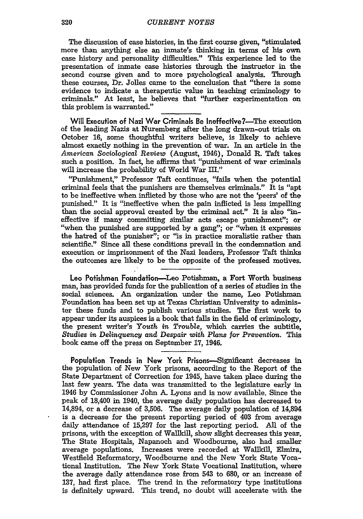The discussion of case histories, in the first course given, "stimulated more than anything else an inmate's thinking in terms of his own case history and personality difficulties." This experience led to the presentation of inmate case histories through the instructor in the second course given and to more psychological analysis. Through these courses, Dr. Jolles came to the conclusion that "there is some evidence to indicate a therapeutic value in teaching criminology to criminals." At least, he believes that "further experimentation on this problem is warranted."

Will Execution of Nazi War Criminals Be Ineffective?—The execution of the leading Nazis at Nuremberg after the long drawn-out trials on October **16,** some thoughtful writers believe, is likely to achieve almost exactly nothing in the prevention of war. In an article in the *American* Sociological Review (August, 1946), Donald R. Taft takes such a position. In fact, he affirms that "punishment of war criminals will increase the probability of World War III."

"Punishment," Professor Taft continues, "fails when the potential criminal feels that the punishers are themselves criminals." It is "apt to be ineffective when inflicted by those who are not the 'peers' of the punished." It is "ineffective when the pain inflicted is less impelling than the social approval created **by** the criminal act." It is also "ineffective if many committing similar acts escape punishment"; or "when the punished are supported **by** a gang"; or "when it expresses the hatred of the punisher"; or "is in practice moralistic rather than scientific." Since all these conditions prevail in the condemnation and execution or imprisonment of the Nazi leaders, Professor Taft thinks the outcomes are likely to be the opposite of the professed motives.

Leo Pofishman Foundation-Leo Potishman, a Fort Worth business man, has provided funds for the publication of a series of studies in the social sciences. An organization under the name, Leo Potishman Foundation has been **set** up at Texas Christian University to administer these funds and to publish various studies. The first work to appear under its auspices is a book that falls in the field of criminology, the present writer's Youth *in Trouble,* which carries the subtitle, *Studies in Delinquency and Despair with Plans for Prevention.* This book came off the press on September 17, 1946.

Population Trends in New York Prisons-Significant decreases in the population of New York prisons, according to the Report of the State Department of Correction for 1945, have taken place during the last few years. The data was transmitted to the legislature early in 1946 by Commissioner John A. Lyons and is now available. Since the peak of 18,400 in 1940, the average daily population has decreased to 14,894, or a decrease of 3,506. The average daily population of 14,894 is a decrease for the present reporting period of 403 from average daily attendance of 15,297 for the last reporting period. All of the prisons, with the exception of WallkiU, show slight decreases this year. The State Hospitals, Napanoch and Woodbourne, also had smaller average populations. Increases were recorded at Wallkill, Elmira, Westfield Reformatory, Woodbourne and the New York State Vocational Institution. The New York State Vocational Institution, where the average daily attendance rose from 543 to 680, or an increase of 137, had first place. The trend in the reformatory type institutions is definitely upward. This trend, no doubt will accelerate with the